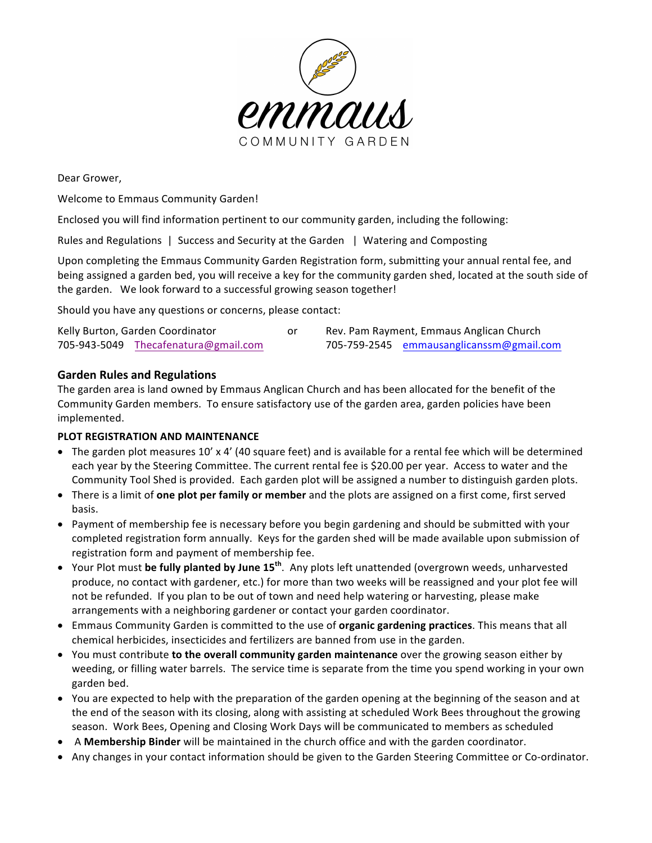

Dear Grower,

Welcome to Emmaus Community Garden!

Enclosed you will find information pertinent to our community garden, including the following:

Rules and Regulations | Success and Security at the Garden | Watering and Composting

Upon completing the Emmaus Community Garden Registration form, submitting your annual rental fee, and being assigned a garden bed, you will receive a key for the community garden shed, located at the south side of the garden. We look forward to a successful growing season together!

Should you have any questions or concerns, please contact:

| Kelly Burton, Garden Coordinator |                                      | Rev. Pam Rayment, Emmaus Anglican Church |                                          |
|----------------------------------|--------------------------------------|------------------------------------------|------------------------------------------|
|                                  | 705-943-5049 Thecafenatura@gmail.com |                                          | 705-759-2545 emmausanglicanssm@gmail.com |

# **Garden Rules and Regulations**

The garden area is land owned by Emmaus Anglican Church and has been allocated for the benefit of the Community Garden members. To ensure satisfactory use of the garden area, garden policies have been implemented. 

# **PLOT REGISTRATION AND MAINTENANCE**

- The garden plot measures 10' x 4' (40 square feet) and is available for a rental fee which will be determined each year by the Steering Committee. The current rental fee is \$20.00 per year. Access to water and the Community Tool Shed is provided. Each garden plot will be assigned a number to distinguish garden plots.
- There is a limit of **one plot per family or member** and the plots are assigned on a first come, first served basis.
- Payment of membership fee is necessary before you begin gardening and should be submitted with your completed registration form annually. Keys for the garden shed will be made available upon submission of registration form and payment of membership fee.
- Your Plot must be fully planted by June 15<sup>th</sup>. Any plots left unattended (overgrown weeds, unharvested produce, no contact with gardener, etc.) for more than two weeks will be reassigned and your plot fee will not be refunded. If you plan to be out of town and need help watering or harvesting, please make arrangements with a neighboring gardener or contact your garden coordinator.
- Emmaus Community Garden is committed to the use of **organic gardening practices**. This means that all chemical herbicides, insecticides and fertilizers are banned from use in the garden.
- You must contribute **to the overall community garden maintenance** over the growing season either by weeding, or filling water barrels. The service time is separate from the time you spend working in your own garden bed.
- You are expected to help with the preparation of the garden opening at the beginning of the season and at the end of the season with its closing, along with assisting at scheduled Work Bees throughout the growing season. Work Bees, Opening and Closing Work Days will be communicated to members as scheduled
- A **Membership Binder** will be maintained in the church office and with the garden coordinator.
- Any changes in your contact information should be given to the Garden Steering Committee or Co-ordinator.